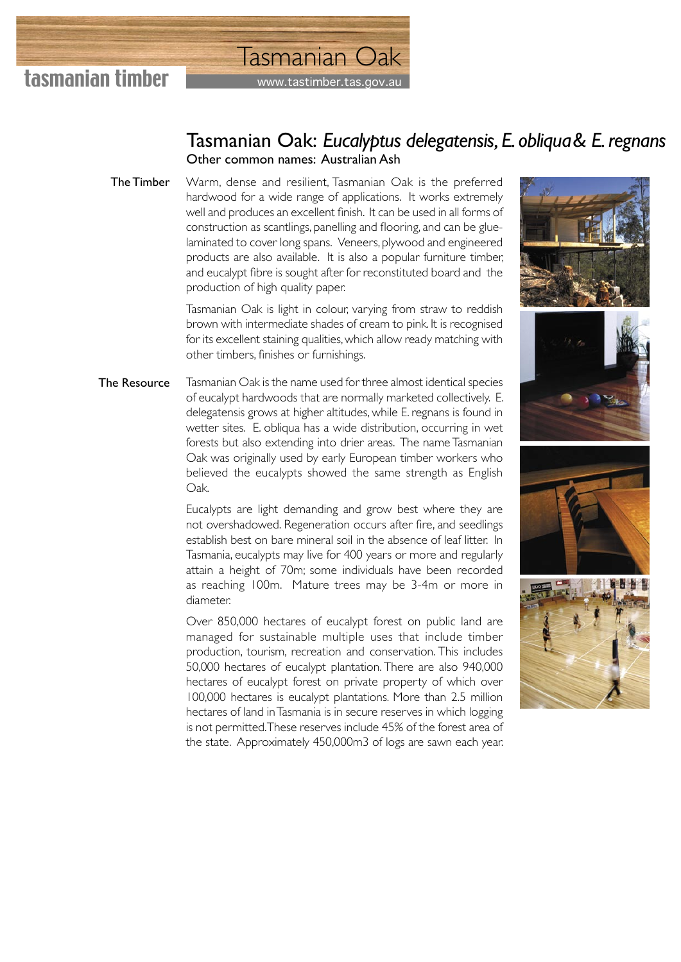

## www.tastimber.tas.gov.a Tasmanian Oak

## Tasmanian Oak: *Eucalyptus delegatensis, E. obliqua & E. regnans* Other common names: Australian Ash

Warm, dense and resilient, Tasmanian Oak is the preferred hardwood for a wide range of applications. It works extremely well and produces an excellent finish. It can be used in all forms of construction as scantlings, panelling and flooring, and can be gluelaminated to cover long spans. Veneers, plywood and engineered products are also available. It is also a popular furniture timber, and eucalypt fibre is sought after for reconstituted board and the production of high quality paper. The Timber

> Tasmanian Oak is light in colour, varying from straw to reddish brown with intermediate shades of cream to pink. It is recognised for its excellent staining qualities, which allow ready matching with other timbers, finishes or furnishings.

Tasmanian Oak is the name used for three almost identical species of eucalypt hardwoods that are normally marketed collectively. E. delegatensis grows at higher altitudes, while E. regnans is found in wetter sites. E. obliqua has a wide distribution, occurring in wet forests but also extending into drier areas. The name Tasmanian Oak was originally used by early European timber workers who believed the eucalypts showed the same strength as English Oak. The Resource

> Eucalypts are light demanding and grow best where they are not overshadowed. Regeneration occurs after fire, and seedlings establish best on bare mineral soil in the absence of leaf litter. In Tasmania, eucalypts may live for 400 years or more and regularly attain a height of 70m; some individuals have been recorded as reaching 100m. Mature trees may be 3-4m or more in diameter.

> Over 850,000 hectares of eucalypt forest on public land are managed for sustainable multiple uses that include timber production, tourism, recreation and conservation. This includes 50,000 hectares of eucalypt plantation. There are also 940,000 hectares of eucalypt forest on private property of which over 100,000 hectares is eucalypt plantations. More than 2.5 million hectares of land in Tasmania is in secure reserves in which logging is not permitted. These reserves include 45% of the forest area of the state. Approximately 450,000m3 of logs are sawn each year.